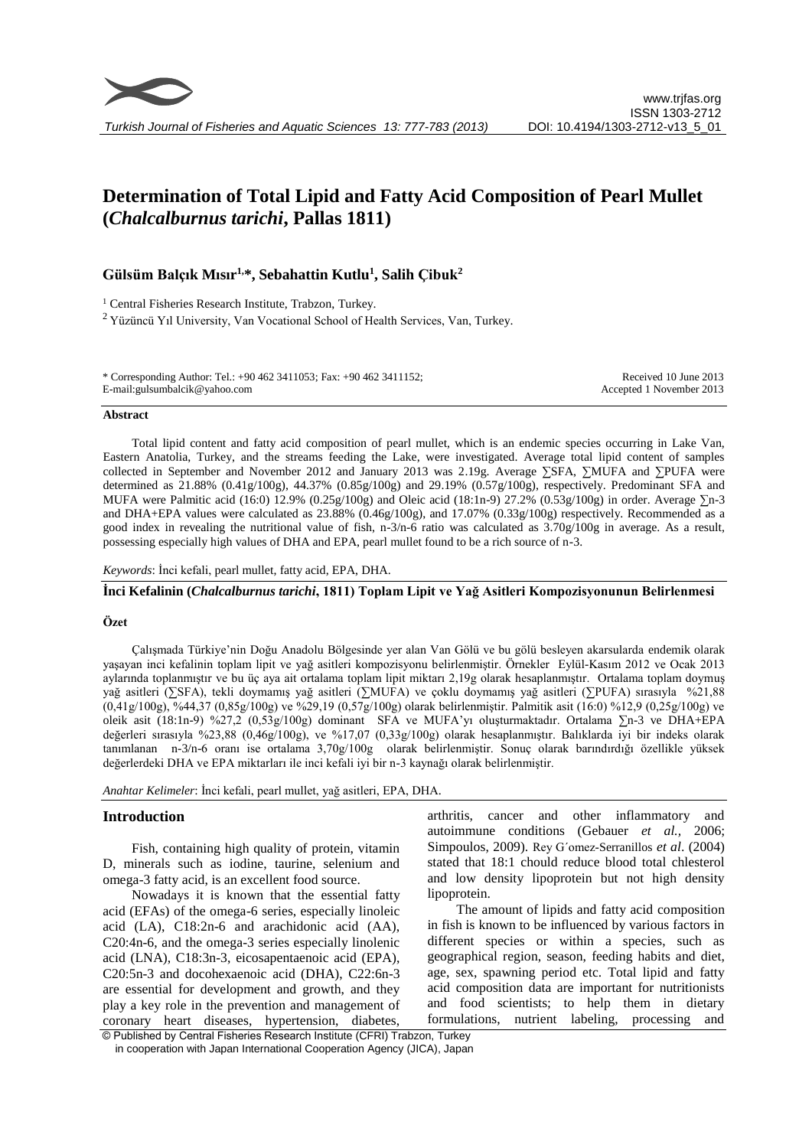

# **Determination of Total Lipid and Fatty Acid Composition of Pearl Mullet (***Chalcalburnus tarichi***, Pallas 1811)**

# **Gülsüm Balçık Mısır 1,\*, Sebahattin Kutlu<sup>1</sup> , Salih Çibuk<sup>2</sup>**

<sup>1</sup> Central Fisheries Research Institute, Trabzon, Turkey. <sup>2</sup>Yüzüncü Yıl University, Van Vocational School of Health Services, Van, Turkey.

\* Corresponding Author: Tel.: +90 462 3411053; Fax: +90 462 3411152; E-mail:gulsumbalcik@yahoo.com Received 10 June 2013 Accepted 1 November 2013

#### **Abstract**

Total lipid content and fatty acid composition of pearl mullet, which is an endemic species occurring in Lake Van, Eastern Anatolia, Turkey, and the streams feeding the Lake, were investigated. Average total lipid content of samples collected in September and November 2012 and January 2013 was 2.19g. Average ∑SFA, ∑MUFA and ∑PUFA were determined as  $21.88\%$  (0.41g/100g), 44.37% (0.85g/100g) and 29.19% (0.57g/100g), respectively. Predominant SFA and MUFA were Palmitic acid (16:0) 12.9% (0.25g/100g) and Oleic acid (18:1n-9) 27.2% (0.53g/100g) in order. Average ∑n-3 and DHA+EPA values were calculated as 23.88% (0.46g/100g), and 17.07% (0.33g/100g) respectively. Recommended as a good index in revealing the nutritional value of fish,  $n-3/n-6$  ratio was calculated as  $3.70g/100g$  in average. As a result, possessing especially high values of DHA and EPA, pearl mullet found to be a rich source of n-3.

*Keywords*: İnci kefali, pearl mullet, fatty acid, EPA, DHA.

**İnci Kefalinin (***Chalcalburnus tarichi***, 1811) Toplam Lipit ve Yağ Asitleri Kompozisyonunun Belirlenmesi** 

#### **Özet**

Çalışmada Türkiye'nin Doğu Anadolu Bölgesinde yer alan Van Gölü ve bu gölü besleyen akarsularda endemik olarak yaşayan inci kefalinin toplam lipit ve yağ asitleri kompozisyonu belirlenmiştir. Örnekler Eylül-Kasım 2012 ve Ocak 2013 aylarında toplanmıştır ve bu üç aya ait ortalama toplam lipit miktarı 2,19g olarak hesaplanmıştır. Ortalama toplam doymuş yağ asitleri (∑SFA), tekli doymamış yağ asitleri (∑MUFA) ve çoklu doymamış yağ asitleri (∑PUFA) sırasıyla %21,88 (0,41g/100g), %44,37 (0,85g/100g) ve %29,19 (0,57g/100g) olarak belirlenmiştir. Palmitik asit (16:0) %12,9 (0,25g/100g) ve oleik asit (18:1n-9) %27,2 (0,53g/100g) dominant SFA ve MUFA'yı oluşturmaktadır. Ortalama ∑n-3 ve DHA+EPA değerleri sırasıyla %23,88 (0,46g/100g), ve %17,07 (0,33g/100g) olarak hesaplanmıştır. Balıklarda iyi bir indeks olarak tanımlanan n-3/n-6 oranı ise ortalama 3,70g/100g olarak belirlenmiştir. Sonuç olarak barındırdığı özellikle yüksek değerlerdeki DHA ve EPA miktarları ile inci kefali iyi bir n-3 kaynağı olarak belirlenmiştir.

*Anahtar Kelimeler*: İnci kefali, pearl mullet, yağ asitleri, EPA, DHA.

#### **Introduction**

Fish, containing high quality of protein, vitamin D, minerals such as iodine, taurine, selenium and omega-3 fatty acid, is an excellent food source.

Nowadays it is known that the essential fatty acid (EFAs) of the omega-6 series, especially linoleic acid (LA), C18:2n-6 and arachidonic acid (AA), C20:4n-6, and the omega-3 series especially linolenic acid (LNA), C18:3n-3, eicosapentaenoic acid (EPA), C20:5n-3 and docohexaenoic acid (DHA), C22:6n-3 are essential for development and growth, and they play a key role in the prevention and management of coronary heart diseases, hypertension, diabetes, arthritis, cancer and other inflammatory and autoimmune conditions (Gebauer *et al.,* 2006; Simpoulos, 2009). Rey G´omez-Serranillos *et al*. (2004) stated that 18:1 chould reduce blood total chlesterol and low density lipoprotein but not high density lipoprotein.

The amount of lipids and fatty acid composition in fish is known to be influenced by various factors in different species or within a species, such as geographical region, season, feeding habits and diet, age, sex, spawning period etc. Total lipid and fatty acid composition data are important for nutritionists and food scientists; to help them in dietary formulations, nutrient labeling, processing and

© Published by Central Fisheries Research Institute (CFRI) Trabzon, Turkey in cooperation with Japan International Cooperation Agency (JICA), Japan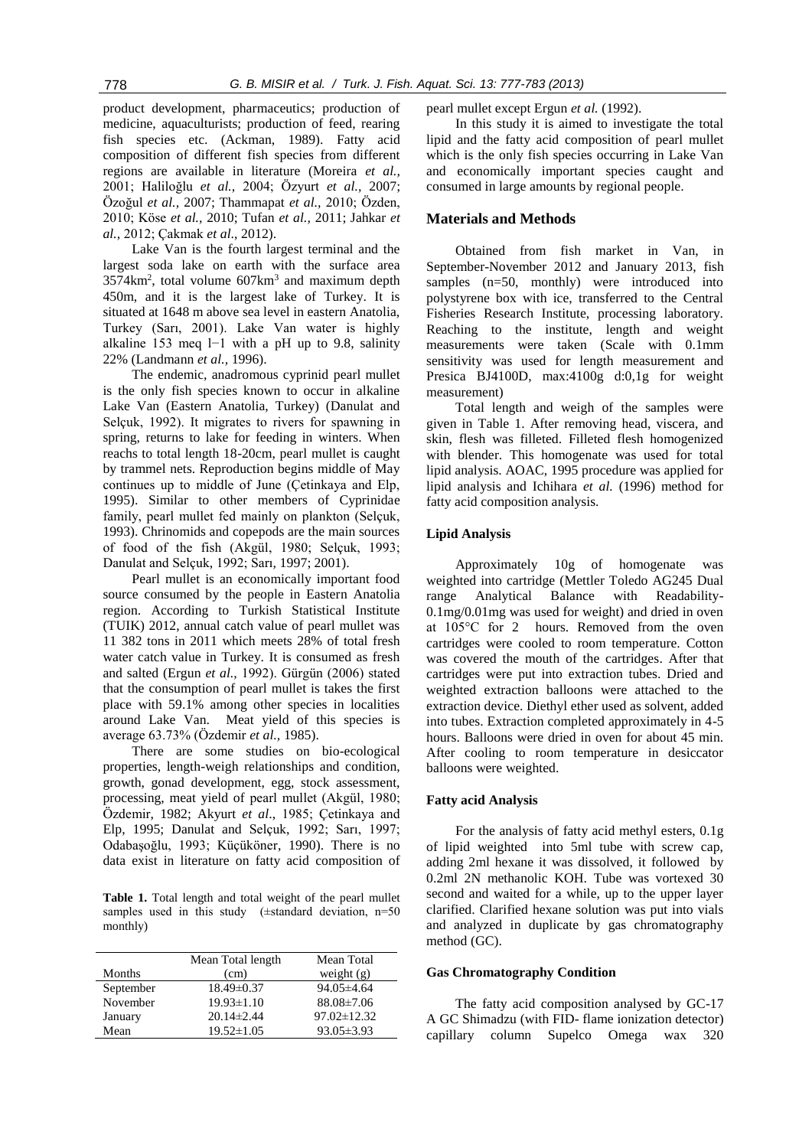product development, pharmaceutics; production of medicine, aquaculturists; production of feed, rearing fish species etc. (Ackman, 1989). Fatty acid composition of different fish species from different regions are available in literature (Moreira *et al.,* 2001; Haliloğlu *et al.,* 2004; Özyurt *et al.,* 2007; Özoğul *et al.,* 2007; Thammapat *et al.,* 2010; Özden, 2010; Köse *et al.,* 2010; Tufan *et al.,* 2011; Jahkar *et al.,* 2012; Çakmak *et al*., 2012).

Lake Van is the fourth largest terminal and the largest soda lake on earth with the surface area  $3574 \text{km}^2$ , total volume  $607 \text{km}^3$  and maximum depth 450m, and it is the largest lake of Turkey. It is situated at 1648 m above sea level in eastern Anatolia, Turkey (Sarı, 2001). Lake Van water is highly alkaline 153 meq l−1 with a pH up to 9.8, salinity 22% (Landmann *et al.,* 1996).

The endemic, anadromous cyprinid pearl mullet is the only fish species known to occur in alkaline Lake Van (Eastern Anatolia, Turkey) (Danulat and Selçuk, 1992). It migrates to rivers for spawning in spring, returns to lake for feeding in winters. When reachs to total length 18-20cm, pearl mullet is caught by trammel nets. Reproduction begins middle of May continues up to middle of June (Çetinkaya and Elp, 1995). Similar to other members of Cyprinidae family, pearl mullet fed mainly on plankton (Selçuk, 1993). Chrinomids and copepods are the main sources of food of the fish (Akgül, 1980; Selçuk, 1993; Danulat and Selçuk, 1992; Sarı, 1997; 2001).

Pearl mullet is an economically important food source consumed by the people in Eastern Anatolia region. According to Turkish Statistical Institute (TUIK) 2012, annual catch value of pearl mullet was 11 382 tons in 2011 which meets 28% of total fresh water catch value in Turkey. It is consumed as fresh and salted (Ergun *et al.,* 1992). Gürgün (2006) stated that the consumption of pearl mullet is takes the first place with 59.1% among other species in localities around Lake Van. Meat yield of this species is average 63.73% (Özdemir *et al.,* 1985).

There are some studies on bio-ecological properties, length-weigh relationships and condition, growth, gonad development, egg, stock assessment, processing, meat yield of pearl mullet (Akgül, 1980; Özdemir, 1982; Akyurt *et al*., 1985; Çetinkaya and Elp, 1995; Danulat and Selçuk, 1992; Sarı, 1997; Odabaşoğlu, 1993; Küçüköner, 1990). There is no data exist in literature on fatty acid composition of

**Table 1.** Total length and total weight of the pearl mullet samples used in this study  $(\pm$ standard deviation, n=50 monthly)

|           | Mean Total length | Mean Total        |
|-----------|-------------------|-------------------|
| Months    | (cm)              | weight $(g)$      |
| September | 18.49±0.37        | $94.05\pm4.64$    |
| November  | $19.93 \pm 1.10$  | $88.08 \pm 7.06$  |
| January   | $20.14 \pm 2.44$  | $97.02 \pm 12.32$ |
| Mean      | $19.52 \pm 1.05$  | $93.05 \pm 3.93$  |

pearl mullet except Ergun *et al.* (1992).

In this study it is aimed to investigate the total lipid and the fatty acid composition of pearl mullet which is the only fish species occurring in Lake Van and economically important species caught and consumed in large amounts by regional people.

## **Materials and Methods**

Obtained from fish market in Van, in September-November 2012 and January 2013, fish samples (n=50, monthly) were introduced into polystyrene box with ice, transferred to the Central Fisheries Research Institute, processing laboratory. Reaching to the institute, length and weight measurements were taken (Scale with 0.1mm sensitivity was used for length measurement and Presica BJ4100D, max:4100g d:0,1g for weight measurement)

Total length and weigh of the samples were given in Table 1. After removing head, viscera, and skin, flesh was filleted. Filleted flesh homogenized with blender. This homogenate was used for total lipid analysis. AOAC, 1995 procedure was applied for lipid analysis and Ichihara *et al.* (1996) method for fatty acid composition analysis.

#### **Lipid Analysis**

Approximately 10g of homogenate was weighted into cartridge (Mettler Toledo AG245 Dual range Analytical Balance with Readability-0.1mg/0.01mg was used for weight) and dried in oven at 105°C for 2 hours. Removed from the oven cartridges were cooled to room temperature. Cotton was covered the mouth of the cartridges. After that cartridges were put into extraction tubes. Dried and weighted extraction balloons were attached to the extraction device. Diethyl ether used as solvent, added into tubes. Extraction completed approximately in 4-5 hours. Balloons were dried in oven for about 45 min. After cooling to room temperature in desiccator balloons were weighted.

#### **Fatty acid Analysis**

For the analysis of fatty acid methyl esters, 0.1g of lipid weighted into 5ml tube with screw cap, adding 2ml hexane it was dissolved, it followed by 0.2ml 2N methanolic KOH. Tube was vortexed 30 second and waited for a while, up to the upper layer clarified. Clarified hexane solution was put into vials and analyzed in duplicate by gas chromatography method (GC).

#### **Gas Chromatography Condition**

The fatty acid composition analysed by GC-17 A GC Shimadzu (with FID- flame ionization detector) capillary column Supelco Omega wax 320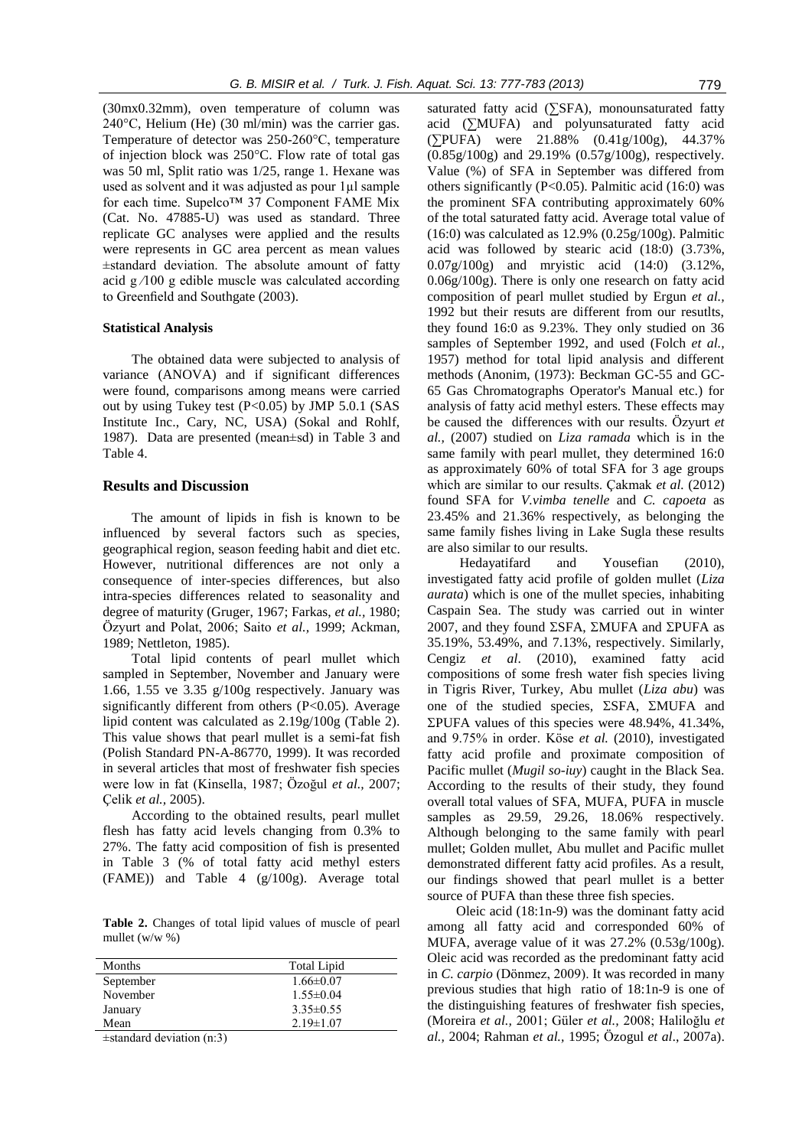(30mx0.32mm), oven temperature of column was 240°C, Helium (He) (30 ml/min) was the carrier gas. Temperature of detector was 250-260°C, temperature of injection block was 250°C. Flow rate of total gas was 50 ml, Split ratio was 1/25, range 1. Hexane was used as solvent and it was adjusted as pour 1µl sample for each time. Supelco™ 37 Component FAME Mix (Cat. No. 47885-U) was used as standard. Three replicate GC analyses were applied and the results were represents in GC area percent as mean values ±standard deviation. The absolute amount of fatty acid  $g/100$  g edible muscle was calculated according to Greenfield and Southgate (2003).

#### **Statistical Analysis**

The obtained data were subjected to analysis of variance (ANOVA) and if significant differences were found, comparisons among means were carried out by using Tukey test  $(P<0.05)$  by JMP 5.0.1 (SAS Institute Inc., Cary, NC, USA) (Sokal and Rohlf, 1987). Data are presented (mean±sd) in Table 3 and Table 4.

### **Results and Discussion**

The amount of lipids in fish is known to be influenced by several factors such as species, geographical region, season feeding habit and diet etc. However, nutritional differences are not only a consequence of inter-species differences, but also intra-species differences related to seasonality and degree of maturity (Gruger, 1967; Farkas, *et al.,* 1980; Özyurt and Polat, 2006; Saito *et al.,* 1999; Ackman, 1989; Nettleton, 1985).

Total lipid contents of pearl mullet which sampled in September, November and January were 1.66, 1.55 ve 3.35 g/100g respectively. January was significantly different from others (P<0.05). Average lipid content was calculated as 2.19g/100g (Table 2). This value shows that pearl mullet is a semi-fat fish (Polish Standard PN-A-86770, 1999). It was recorded in several articles that most of freshwater fish species were low in fat (Kinsella, 1987; Özoğul *et al.,* 2007; Çelik *et al.,* 2005).

According to the obtained results, pearl mullet flesh has fatty acid levels changing from 0.3% to 27%. The fatty acid composition of fish is presented in Table 3 (% of total fatty acid methyl esters (FAME)) and Table 4 (g/100g). Average total

**Table 2.** Changes of total lipid values of muscle of pearl mullet (w/w %)

| Months    | <b>Total Lipid</b> |
|-----------|--------------------|
| September | $1.66 \pm 0.07$    |
| November  | $1.55 \pm 0.04$    |
| January   | $3.35\pm0.55$      |
| Mean      | $2.19 \pm 1.07$    |
| .         |                    |

±standard deviation (n:3)

saturated fatty acid (∑SFA), monounsaturated fatty acid (∑MUFA) and polyunsaturated fatty acid (∑PUFA) were 21.88% (0.41g/100g), 44.37% (0.85g/100g) and 29.19% (0.57g/100g), respectively. Value (%) of SFA in September was differed from others significantly (P<0.05). Palmitic acid (16:0) was the prominent SFA contributing approximately 60% of the total saturated fatty acid. Average total value of  $(16:0)$  was calculated as  $12.9\%$   $(0.25g/100g)$ . Palmitic acid was followed by stearic acid (18:0) (3.73%, 0.07g/100g) and mryistic acid (14:0) (3.12%, 0.06g/100g). There is only one research on fatty acid composition of pearl mullet studied by Ergun *et al.,* 1992 but their resuts are different from our resutlts, they found 16:0 as 9.23%. They only studied on 36 samples of September 1992, and used (Folch *et al.,* 1957) method for total lipid analysis and different methods (Anonim, (1973): Beckman GC-55 and GC-65 Gas Chromatographs Operator's Manual etc.) for analysis of fatty acid methyl esters. These effects may be caused the differences with our results. Özyurt *et al.,* (2007) studied on *Liza ramada* which is in the same family with pearl mullet, they determined 16:0 as approximately 60% of total SFA for 3 age groups which are similar to our results. Cakmak *et al.* (2012) found SFA for *V.vimba tenelle* and *C. capoeta* as 23.45% and 21.36% respectively, as belonging the same family fishes living in Lake Sugla these results are also similar to our results.

Hedayatifard and Yousefian (2010), investigated fatty acid profile of golden mullet (*Liza aurata*) which is one of the mullet species, inhabiting Caspain Sea. The study was carried out in winter 2007, and they found  $\Sigma$ SFA,  $\Sigma$ MUFA and  $\Sigma$ PUFA as 35.19%, 53.49%, and 7.13%, respectively. Similarly, Cengiz *et al*. (2010), examined fatty acid compositions of some fresh water fish species living in Tigris River, Turkey, Abu mullet (*Liza abu*) was one of the studied species,  $\Sigma$ SFA,  $\Sigma$ MUFA and  $\Sigma$ PUFA values of this species were 48.94%, 41.34%, and 9.75% in order. Köse *et al.* (2010), investigated fatty acid profile and proximate composition of Pacific mullet (*Mugil so-iuy*) caught in the Black Sea. According to the results of their study, they found overall total values of SFA, MUFA, PUFA in muscle samples as 29.59, 29.26, 18.06% respectively. Although belonging to the same family with pearl mullet; Golden mullet, Abu mullet and Pacific mullet demonstrated different fatty acid profiles. As a result, our findings showed that pearl mullet is a better source of PUFA than these three fish species.

Oleic acid (18:1n-9) was the dominant fatty acid among all fatty acid and corresponded 60% of MUFA, average value of it was 27.2% (0.53g/100g). Oleic acid was recorded as the predominant fatty acid in *C. carpio* (Dönmez, 2009). It was recorded in many previous studies that high ratio of 18:1n-9 is one of the distinguishing features of freshwater fish species, (Moreira *et al.,* 2001; Güler *et al.,* 2008; Haliloğlu *et al.,* 2004; Rahman *et al.,* 1995; Özogul *et al*., 2007a).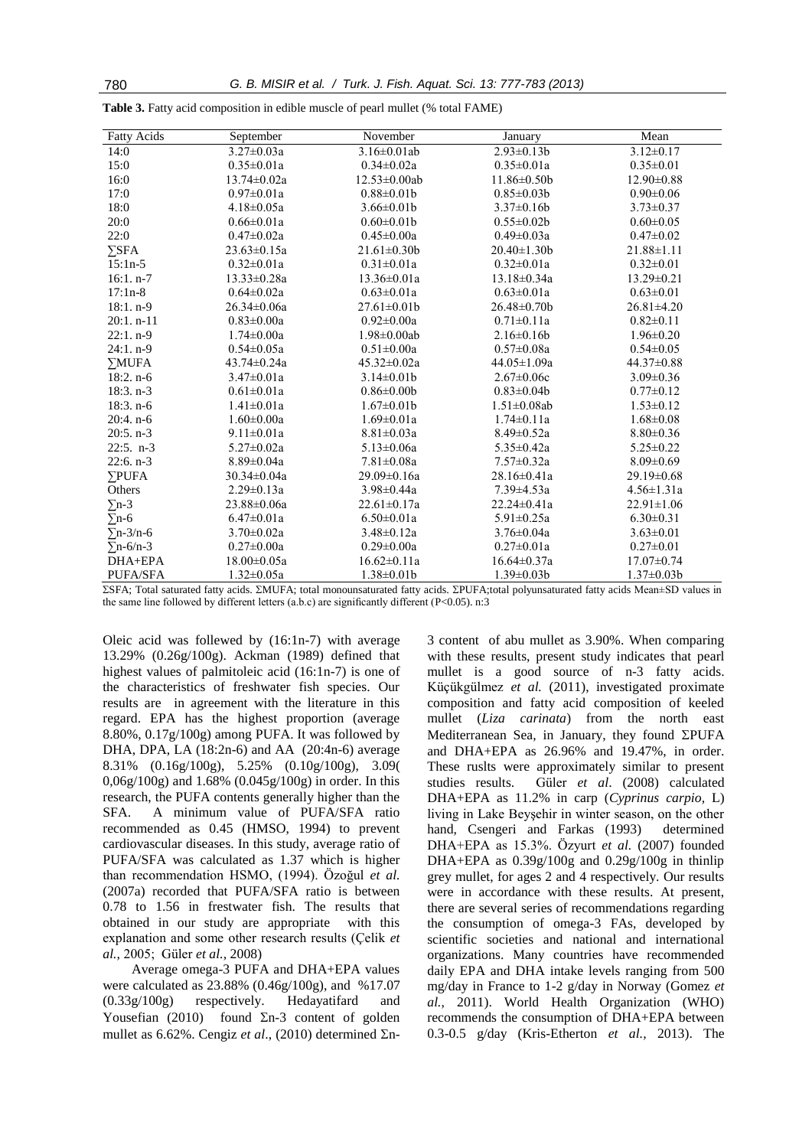|  |  |  | <b>Table 3.</b> Fatty acid composition in edible muscle of pearl mullet (% total FAME) |
|--|--|--|----------------------------------------------------------------------------------------|
|  |  |  |                                                                                        |

| <b>Fatty Acids</b> | September         | November            | January            | Mean             |
|--------------------|-------------------|---------------------|--------------------|------------------|
| 14:0               | $3.27 \pm 0.03a$  | $3.16 \pm 0.01$ ab  | $2.93 \pm 0.13 b$  | $3.12 \pm 0.17$  |
| 15:0               | $0.35 \pm 0.01a$  | $0.34 \pm 0.02a$    | $0.35 \pm 0.01a$   | $0.35 \pm 0.01$  |
| 16:0               | $13.74 \pm 0.02a$ | $12.53 \pm 0.00$ ab | $11.86 \pm 0.50$   | $12.90 \pm 0.88$ |
| 17:0               | $0.97 \pm 0.01a$  | $0.88 \pm 0.01$     | $0.85 \pm 0.03 b$  | $0.90 \pm 0.06$  |
| 18:0               | $4.18 \pm 0.05a$  | $3.66 \pm 0.01$     | $3.37\pm0.16b$     | $3.73 \pm 0.37$  |
| 20:0               | $0.66 \pm 0.01a$  | $0.60 \pm 0.01$     | $0.55 \pm 0.02b$   | $0.60 \pm 0.05$  |
| 22:0               | $0.47 \pm 0.02a$  | $0.45 \pm 0.00a$    | $0.49 \pm 0.03a$   | $0.47 \pm 0.02$  |
| $\Sigma$ SFA       | 23.63±0.15a       | 21.61±0.30b         | $20.40 \pm 1.30b$  | $21.88 \pm 1.11$ |
| $15:1n-5$          | $0.32 \pm 0.01a$  | $0.31 \pm 0.01a$    | $0.32 \pm 0.01a$   | $0.32 \pm 0.01$  |
| $16:1. n-7$        | $13.33 \pm 0.28a$ | $13.36 \pm 0.01a$   | $13.18 \pm 0.34a$  | $13.29 \pm 0.21$ |
| $17:1n-8$          | $0.64 \pm 0.02a$  | $0.63 \pm 0.01a$    | $0.63 \pm 0.01a$   | $0.63 \pm 0.01$  |
| $18:1. n-9$        | 26.34±0.06a       | $27.61 \pm 0.01$    | 26.48±0.70b        | $26.81 \pm 4.20$ |
| $20:1. n-11$       | $0.83 \pm 0.00a$  | $0.92 \pm 0.00a$    | $0.71 \pm 0.11a$   | $0.82 \pm 0.11$  |
| $22:1. n-9$        | $1.74 \pm 0.00a$  | $1.98\pm0.00ab$     | $2.16\pm0.16b$     | $1.96 \pm 0.20$  |
| $24:1. n-9$        | $0.54 \pm 0.05a$  | $0.51 \pm 0.00a$    | $0.57 \pm 0.08a$   | $0.54 \pm 0.05$  |
| $\Sigma MUFA$      | $43.74 \pm 0.24a$ | $45.32 \pm 0.02a$   | $44.05 \pm 1.09a$  | $44.37 \pm 0.88$ |
| $18:2. n-6$        | $3.47 \pm 0.01a$  | $3.14\pm0.01b$      | $2.67 \pm 0.06c$   | $3.09 \pm 0.36$  |
| $18:3. n-3$        | $0.61 \pm 0.01a$  | $0.86 \pm 0.00$     | $0.83 \pm 0.04b$   | $0.77 \pm 0.12$  |
| $18:3. n-6$        | $1.41 \pm 0.01a$  | $1.67 \pm 0.01b$    | $1.51 \pm 0.08$ ab | $1.53 \pm 0.12$  |
| $20:4. n-6$        | $1.60 \pm 0.00a$  | $1.69 \pm 0.01a$    | $1.74 \pm 0.11a$   | $1.68 \pm 0.08$  |
| $20:5. n-3$        | $9.11 \pm 0.01a$  | $8.81 \pm 0.03a$    | $8.49 \pm 0.52a$   | $8.80 \pm 0.36$  |
| $22:5. n-3$        | $5.27 \pm 0.02a$  | $5.13 \pm 0.06a$    | $5.35 \pm 0.42a$   | $5.25 \pm 0.22$  |
| $22:6. n-3$        | $8.89 \pm 0.04a$  | $7.81 \pm 0.08a$    | $7.57 \pm 0.32a$   | $8.09 \pm 0.69$  |
| <b>PUFA</b>        | $30.34 \pm 0.04a$ | 29.09±0.16a         | 28.16±0.41a        | 29.19±0.68       |
| Others             | $2.29 \pm 0.13a$  | $3.98 \pm 0.44a$    | $7.39 \pm 4.53a$   | $4.56 \pm 1.31a$ |
| $\Sigma$ n-3       | 23.88±0.06a       | $22.61 \pm 0.17a$   | $22.24 \pm 0.41a$  | $22.91 \pm 1.06$ |
| $\Sigma$ n-6       | $6.47 \pm 0.01a$  | $6.50 \pm 0.01a$    | $5.91 \pm 0.25a$   | $6.30 \pm 0.31$  |
| $\Sigma$ n-3/n-6   | $3.70 \pm 0.02a$  | $3.48 \pm 0.12a$    | $3.76 \pm 0.04a$   | $3.63 \pm 0.01$  |
| $\Sigma$ n-6/n-3   | $0.27 \pm 0.00a$  | $0.29 \pm 0.00a$    | $0.27 \pm 0.01a$   | $0.27 \pm 0.01$  |
| DHA+EPA            | $18.00 \pm 0.05a$ | $16.62 \pm 0.11a$   | $16.64 \pm 0.37a$  | $17.07 \pm 0.74$ |
| <b>PUFA/SFA</b>    | $1.32 \pm 0.05a$  | $1.38 \pm 0.01$     | $1.39 \pm 0.03 b$  | $1.37 \pm 0.03b$ |

ΣSFA; Total saturated fatty acids. ΣMUFA; total monounsaturated fatty acids. ΣPUFA;total polyunsaturated fatty acids Mean±SD values in the same line followed by different letters (a.b.c) are significantly different (P<0.05). n:3

Oleic acid was follewed by (16:1n-7) with average 13.29% (0.26g/100g). Ackman (1989) defined that highest values of palmitoleic acid (16:1n-7) is one of the characteristics of freshwater fish species. Our results are in agreement with the literature in this regard. EPA has the highest proportion (average 8.80%, 0.17g/100g) among PUFA. It was followed by DHA, DPA, LA (18:2n-6) and AA (20:4n-6) average 8.31% (0.16g/100g), 5.25% (0.10g/100g), 3.09( 0,06g/100g) and 1.68% (0.045g/100g) in order. In this research, the PUFA contents generally higher than the SFA. A minimum value of PUFA/SFA ratio recommended as 0.45 (HMSO, 1994) to prevent cardiovascular diseases. In this study, average ratio of PUFA/SFA was calculated as 1.37 which is higher than recommendation HSMO, (1994). Özoğul *et al.* (2007a) recorded that PUFA/SFA ratio is between 0.78 to 1.56 in frestwater fish. The results that obtained in our study are appropriate with this explanation and some other research results (Çelik *et al.,* 2005; Güler *et al.,* 2008)

Average omega-3 PUFA and DHA+EPA values were calculated as 23.88% (0.46g/100g), and %17.07 (0.33g/100g) respectively. Hedayatifard and Yousefian (2010) found  $\Sigma$ n-3 content of golden mullet as  $6.62\%$ . Cengiz *et al.*, (2010) determined  $\Sigma$ n3 content of abu mullet as 3.90%. When comparing with these results, present study indicates that pearl mullet is a good source of n-3 fatty acids. Küçükgülmez *et al.* (2011), investigated proximate composition and fatty acid composition of keeled mullet (*Liza carinata*) from the north east Mediterranean Sea, in January, they found  $\Sigma$ PUFA and DHA+EPA as 26.96% and 19.47%, in order. These ruslts were approximately similar to present studies results. Güler *et al*. (2008) calculated DHA+EPA as 11.2% in carp (*Cyprinus carpio,* L) living in Lake Beyşehir in winter season, on the other hand, Csengeri and Farkas (1993) determined DHA+EPA as 15.3%. Özyurt *et al.* (2007) founded DHA+EPA as  $0.39g/100g$  and  $0.29g/100g$  in thinlip grey mullet, for ages 2 and 4 respectively. Our results were in accordance with these results. At present, there are several series of recommendations regarding the consumption of omega-3 FAs, developed by scientific societies and national and international organizations. Many countries have recommended daily EPA and DHA intake levels ranging from 500 mg/day in France to 1-2 g/day in Norway (Gomez *et al.,* 2011). World Health Organization (WHO) recommends the consumption of DHA+EPA between 0.3-0.5 g/day (Kris-Etherton *et al.,* 2013). The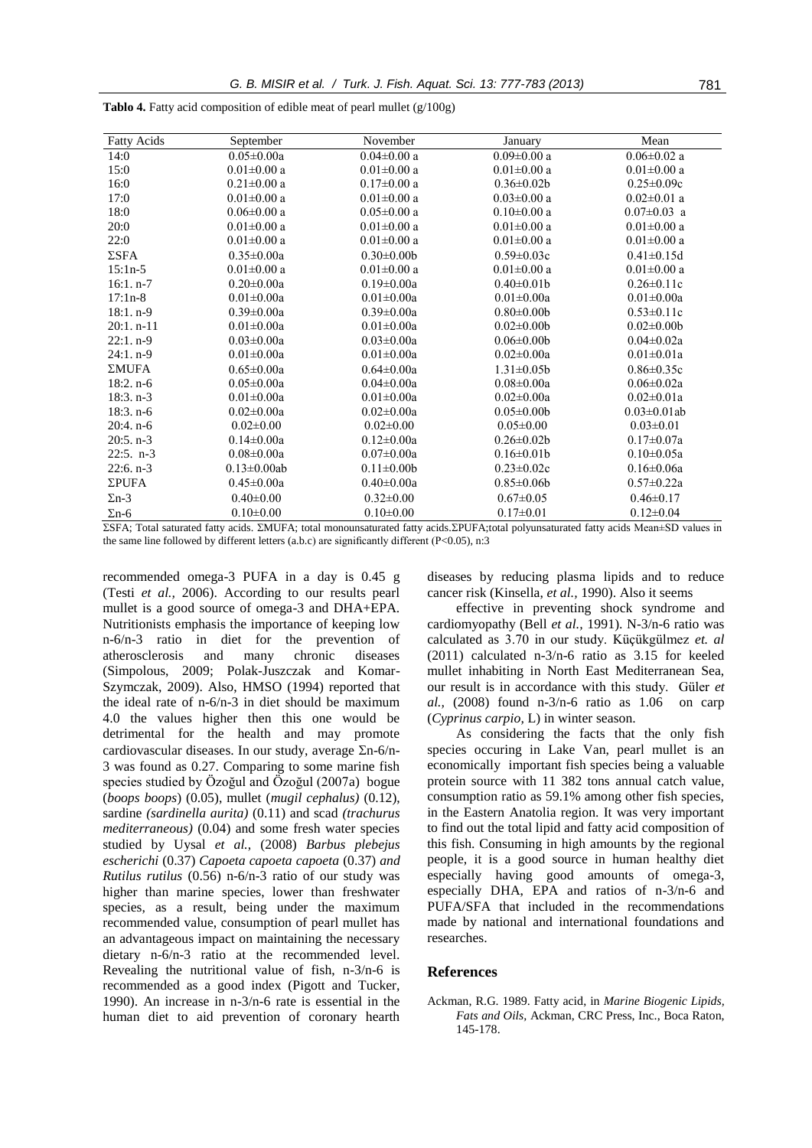| <b>Fatty Acids</b> | September          | November          | January           | Mean               |
|--------------------|--------------------|-------------------|-------------------|--------------------|
| 14:0               | $0.05 \pm 0.00a$   | $0.04 \pm 0.00$ a | $0.09 \pm 0.00$ a | $0.06 \pm 0.02$ a  |
| 15:0               | $0.01 \pm 0.00$ a  | $0.01 \pm 0.00$ a | $0.01 \pm 0.00$ a | $0.01 \pm 0.00$ a  |
| 16:0               | $0.21 \pm 0.00$ a  | $0.17 \pm 0.00$ a | $0.36 \pm 0.02b$  | $0.25 \pm 0.09c$   |
| 17:0               | $0.01 \pm 0.00$ a  | $0.01 \pm 0.00$ a | $0.03 \pm 0.00$ a | $0.02 \pm 0.01$ a  |
| 18:0               | $0.06 \pm 0.00$ a  | $0.05 \pm 0.00$ a | $0.10 \pm 0.00$ a | $0.07 \pm 0.03$ a  |
| 20:0               | $0.01 \pm 0.00$ a  | $0.01 \pm 0.00$ a | $0.01 \pm 0.00$ a | $0.01 \pm 0.00$ a  |
| 22:0               | $0.01 \pm 0.00$ a  | $0.01 \pm 0.00$ a | $0.01 \pm 0.00$ a | $0.01 \pm 0.00$ a  |
| $\Sigma$ SFA       | $0.35 \pm 0.00a$   | $0.30 \pm 0.00$   | $0.59 \pm 0.03c$  | $0.41 \pm 0.15d$   |
| $15:1n-5$          | $0.01 \pm 0.00$ a  | $0.01 \pm 0.00$ a | $0.01 \pm 0.00$ a | $0.01 \pm 0.00$ a  |
| $16:1. n-7$        | $0.20 \pm 0.00a$   | $0.19 \pm 0.00a$  | $0.40 \pm 0.01$   | $0.26 \pm 0.11c$   |
| $17:1n-8$          | $0.01 \pm 0.00a$   | $0.01 \pm 0.00a$  | $0.01 \pm 0.00a$  | $0.01 \pm 0.00a$   |
| $18:1. n-9$        | $0.39 \pm 0.00a$   | $0.39 \pm 0.00a$  | $0.80 \pm 0.00$   | $0.53 \pm 0.11c$   |
| $20:1. n-11$       | $0.01 \pm 0.00a$   | $0.01 \pm 0.00a$  | $0.02 \pm 0.00$   | $0.02 \pm 0.00$    |
| $22:1. n-9$        | $0.03 \pm 0.00a$   | $0.03 \pm 0.00a$  | $0.06 \pm 0.00$   | $0.04 \pm 0.02a$   |
| $24:1. n-9$        | $0.01 \pm 0.00a$   | $0.01 \pm 0.00a$  | $0.02 \pm 0.00a$  | $0.01 \pm 0.01a$   |
| ΣMUFA              | $0.65 \pm 0.00a$   | $0.64 \pm 0.00a$  | $1.31 \pm 0.05b$  | $0.86 \pm 0.35c$   |
| $18:2. n-6$        | $0.05 \pm 0.00a$   | $0.04 \pm 0.00a$  | $0.08 \pm 0.00a$  | $0.06 \pm 0.02a$   |
| $18:3. n-3$        | $0.01 \pm 0.00a$   | $0.01 \pm 0.00a$  | $0.02 \pm 0.00a$  | $0.02 \pm 0.01a$   |
| $18:3. n-6$        | $0.02 \pm 0.00a$   | $0.02 \pm 0.00a$  | $0.05 \pm 0.00$   | $0.03 \pm 0.01$ ab |
| $20:4. n-6$        | $0.02 \pm 0.00$    | $0.02 \pm 0.00$   | $0.05 \pm 0.00$   | $0.03 \pm 0.01$    |
| $20:5. n-3$        | $0.14 \pm 0.00a$   | $0.12 \pm 0.00a$  | $0.26 \pm 0.02b$  | $0.17 \pm 0.07a$   |
| $22:5. n-3$        | $0.08 \pm 0.00a$   | $0.07 \pm 0.00a$  | $0.16 \pm 0.01$   | $0.10 \pm 0.05a$   |
| $22:6. n-3$        | $0.13 \pm 0.00$ ab | $0.11 \pm 0.00b$  | $0.23 \pm 0.02c$  | $0.16 \pm 0.06a$   |
| ΣPUFA              | $0.45 \pm 0.00a$   | $0.40 \pm 0.00a$  | $0.85 \pm 0.06b$  | $0.57 \pm 0.22a$   |
| $\Sigma$ n-3       | $0.40 \pm 0.00$    | $0.32 \pm 0.00$   | $0.67 \pm 0.05$   | $0.46 \pm 0.17$    |
| $\Sigma$ n-6       | $0.10 \pm 0.00$    | $0.10 \pm 0.00$   | $0.17 \pm 0.01$   | $0.12\pm0.04$      |

**Tablo 4.** Fatty acid composition of edible meat of pearl mullet (g/100g)

ΣSFA; Total saturated fatty acids. ΣMUFA; total monounsaturated fatty acids. ΣPUFA;total polyunsaturated fatty acids Mean±SD values in the same line followed by different letters (a.b.c) are significantly different (P<0.05), n:3

recommended omega-3 PUFA in a day is 0.45 g (Testi *et al.,* 2006). According to our results pearl mullet is a good source of omega-3 and DHA+EPA. Nutritionists emphasis the importance of keeping low n-6/n-3 ratio in diet for the prevention of atherosclerosis and many chronic diseases (Simpolous, 2009; Polak-Juszczak and Komar-Szymczak, 2009). Also, HMSO (1994) reported that the ideal rate of n-6/n-3 in diet should be maximum 4.0 the values higher then this one would be detrimental for the health and may promote cardiovascular diseases. In our study, average  $\Sigma$ n-6/n-3 was found as 0.27. Comparing to some marine fish species studied by Özoğul and Özoğul (2007a) bogue (*boops boops*) (0.05), mullet (*mugil cephalus)* (0.12), sardine *(sardinella aurita)* (0.11) and scad *(trachurus mediterraneous)* (0.04) and some fresh water species studied by Uysal *et al.*, (2008) *Barbus plebejus escherichi* (0.37) *Capoeta capoeta capoeta* (0.37) *and Rutilus rutilus* (0.56) n-6/n-3 ratio of our study was higher than marine species, lower than freshwater species, as a result, being under the maximum recommended value, consumption of pearl mullet has an advantageous impact on maintaining the necessary dietary n-6/n-3 ratio at the recommended level. Revealing the nutritional value of fish, n-3/n-6 is recommended as a good index (Pigott and Tucker, 1990). An increase in n-3/n-6 rate is essential in the human diet to aid prevention of coronary hearth diseases by reducing plasma lipids and to reduce cancer risk (Kinsella, *et al.,* 1990). Also it seems

effective in preventing shock syndrome and cardiomyopathy (Bell *et al.,* 1991). N-3/n-6 ratio was calculated as 3.70 in our study. Küçükgülmez *et. al* (2011) calculated n-3/n-6 ratio as 3.15 for keeled mullet inhabiting in North East Mediterranean Sea, our result is in accordance with this study. Güler *et al.,* (2008) found n-3/n-6 ratio as 1.06 on carp (*Cyprinus carpio,* L) in winter season.

As considering the facts that the only fish species occuring in Lake Van, pearl mullet is an economically important fish species being a valuable protein source with 11 382 tons annual catch value, consumption ratio as 59.1% among other fish species, in the Eastern Anatolia region. It was very important to find out the total lipid and fatty acid composition of this fish. Consuming in high amounts by the regional people, it is a good source in human healthy diet especially having good amounts of omega-3, especially DHA, EPA and ratios of n-3/n-6 and PUFA/SFA that included in the recommendations made by national and international foundations and researches.

#### **References**

Ackman, R.G. 1989. Fatty acid, in *Marine Biogenic Lipids, Fats and Oils,* Ackman, CRC Press, Inc., Boca Raton, 145-178.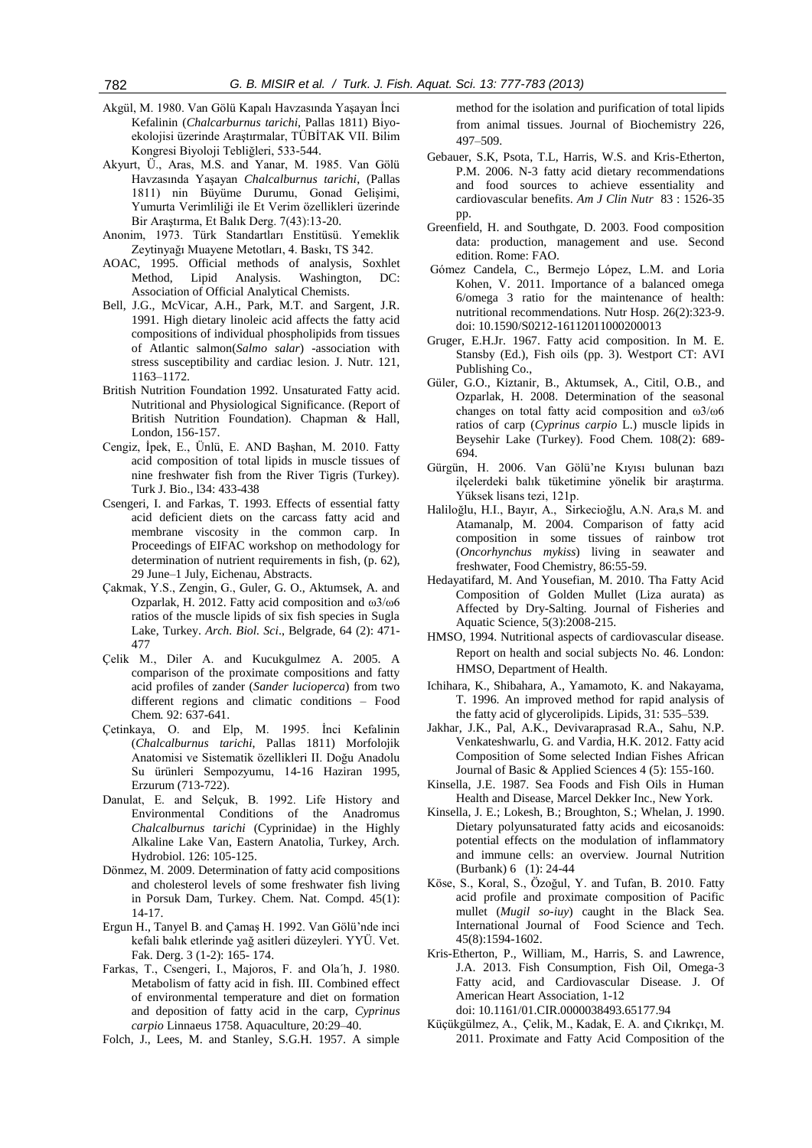- Akgül, M. 1980. Van Gölü Kapalı Havzasında Yaşayan İnci Kefalinin (*Chalcarburnus tarichi*, Pallas 1811) Biyoekolojisi üzerinde Araştırmalar, TÜBİTAK VII. Bilim Kongresi Biyoloji Tebliğleri, 533-544.
- Akyurt, Ü., Aras, M.S. and Yanar, M. 1985. Van Gölü Havzasında Yaşayan *Chalcalburnus tarichi*, (Pallas 1811) nin Büyüme Durumu, Gonad Gelişimi, Yumurta Verimliliği ile Et Verim özellikleri üzerinde Bir Araştırma, Et Balık Derg. 7(43):13-20.
- Anonim, 1973. Türk Standartları Enstitüsü. Yemeklik Zeytinyağı Muayene Metotları, 4. Baskı, TS 342.
- AOAC, 1995. Official methods of analysis, Soxhlet Method, Lipid Analysis. Washington, DC: Association of Official Analytical Chemists.
- Bell, J.G., McVicar, A.H., Park, M.T. and Sargent, J.R. 1991. High dietary linoleic acid affects the fatty acid compositions of individual phospholipids from tissues of Atlantic salmon(*Salmo salar*) -association with stress susceptibility and cardiac lesion. J. Nutr. 121, 1163–1172.
- British Nutrition Foundation 1992. Unsaturated Fatty acid. Nutritional and Physiological Significance. (Report of British Nutrition Foundation). Chapman & Hall, London, 156-157.
- Cengiz, İpek, E., Ünlü, E. AND Başhan, M. 2010. Fatty acid composition of total lipids in muscle tissues of nine freshwater fish from the River Tigris (Turkey). Turk J. Bio., l34: 433-438
- Csengeri, I. and Farkas, T. 1993. Effects of essential fatty acid deficient diets on the carcass fatty acid and membrane viscosity in the common carp. In Proceedings of EIFAC workshop on methodology for determination of nutrient requirements in fish, (p. 62), 29 June–1 July, Eichenau, Abstracts.
- Çakmak, Y.S., Zengin, G., Guler, G. O., Aktumsek, A. and Ozparlak, H. 2012. Fatty acid composition and ω3/ω6 ratios of the muscle lipids of six fish species in Sugla Lake, Turkey. *Arch. Biol. Sci*., Belgrade, 64 (2): 471- 477
- Çelik M., Diler A. and Kucukgulmez A. 2005. A comparison of the proximate compositions and fatty acid profiles of zander (*Sander lucioperca*) from two different regions and climatic conditions – Food Chem*.* 92: 637-641.
- Çetinkaya, O. and Elp, M. 1995. İnci Kefalinin (*Chalcalburnus tarichi*, Pallas 1811) Morfolojik Anatomisi ve Sistematik özellikleri II. Doğu Anadolu Su ürünleri Sempozyumu, 14-16 Haziran 1995, Erzurum (713-722).
- Danulat, E. and Selçuk, B. 1992. Life History and Environmental Conditions of the Anadromus *Chalcalburnus tarichi* (Cyprinidae) in the Highly Alkaline Lake Van, Eastern Anatolia, Turkey, Arch. Hydrobiol. 126: 105-125.
- Dönmez, M. 2009. Determination of fatty acid compositions and cholesterol levels of some freshwater fish living in Porsuk Dam, Turkey. Chem. Nat. Compd. 45(1): 14-17.
- Ergun H., Tanyel B. and Çamaş H. 1992. Van Gölü'nde inci kefali balık etlerinde yağ asitleri düzeyleri. YYÜ. Vet. Fak. Derg. 3 (1-2): 165- 174.
- Farkas, T., Csengeri, I., Majoros, F. and Ola´h, J. 1980. Metabolism of fatty acid in fish. III. Combined effect of environmental temperature and diet on formation and deposition of fatty acid in the carp, *Cyprinus carpio* Linnaeus 1758. Aquaculture, 20:29–40.
- Folch, J., Lees, M. and Stanley, S.G.H. 1957. A simple

method for the isolation and purification of total lipids from animal tissues. Journal of Biochemistry 226, 497–509.

- Gebauer, S.K, Psota, T.L, Harris, W.S. and Kris-Etherton, P.M. 2006. N-3 fatty acid dietary recommendations and food sources to achieve essentiality and cardiovascular benefits. *Am J Clin Nutr* 83 : 1526-35 pp.
- Greenfield, H. and Southgate, D. 2003. Food composition data: production, management and use. Second edition. Rome: FAO.
- Gómez [Candela, C.](http://www.ncbi.nlm.nih.gov/pubmed?term=G%C3%B3mez%20Candela%20C%5BAuthor%5D&cauthor=true&cauthor_uid=21666970), [Bermejo López, L.M.](http://www.ncbi.nlm.nih.gov/pubmed?term=Bermejo%20L%C3%B3pez%20LM%5BAuthor%5D&cauthor=true&cauthor_uid=21666970) and [Loria](http://www.ncbi.nlm.nih.gov/pubmed?term=Loria%20Kohen%20V%5BAuthor%5D&cauthor=true&cauthor_uid=21666970)  [Kohen, V.](http://www.ncbi.nlm.nih.gov/pubmed?term=Loria%20Kohen%20V%5BAuthor%5D&cauthor=true&cauthor_uid=21666970) 2011. Importance of a balanced omega 6/omega 3 ratio for the maintenance of health: nutritional recommendations. [Nutr Hosp.](http://www.ncbi.nlm.nih.gov/pubmed/21666970) 26(2):323-9. doi: 10.1590/S0212-16112011000200013
- Gruger, E.H.Jr. 1967. Fatty acid composition. In M. E. Stansby (Ed.), Fish oils (pp. 3). Westport CT: AVI Publishing Co.,
- Güler, G.O., Kiztanir, B., Aktumsek, A., Citil, O.B., and Ozparlak, H. 2008. Determination of the seasonal changes on total fatty acid composition and ω3/ω6 ratios of carp (*Cyprinus carpio* L.) muscle lipids in Beysehir Lake (Turkey). Food Chem. 108(2): 689- 694.
- Gürgün, H. 2006. Van Gölü'ne Kıyısı bulunan bazı ilçelerdeki balık tüketimine yönelik bir araştırma. Yüksek lisans tezi, 121p.
- Haliloğlu, H.I., Bayır, A., Sirkecioğlu, A.N. Ara,s M. and Atamanalp, M. 2004. Comparison of fatty acid composition in some tissues of rainbow trot (*Oncorhynchus mykiss*) living in seawater and freshwater, Food Chemistry, 86:55-59.
- Hedayatifard, M. And Yousefian, M. 2010. Tha Fatty Acid Composition of Golden Mullet (Liza aurata) as Affected by Dry-Salting. Journal of Fisheries and Aquatic Science, 5(3):2008-215.
- HMSO, 1994. Nutritional aspects of cardiovascular disease. Report on health and social subjects No. 46. London: HMSO, Department of Health.
- Ichihara, K., Shibahara, A., Yamamoto, K. and Nakayama, T. 1996. An improved method for rapid analysis of the fatty acid of glycerolipids. Lipids, 31: 535–539.
- Jakhar, J.K., Pal, A.K., Devivaraprasad R.A., Sahu, N.P. Venkateshwarlu, G. and Vardia, H.K. 2012. Fatty acid Composition of Some selected Indian Fishes African Journal of Basic & Applied Sciences 4 (5): 155-160.
- Kinsella, J.E. 1987. Sea Foods and Fish Oils in Human Health and Disease, Marcel Dekker Inc., New York.
- [Kinsella, J. E.;](http://www.cabdirect.org/search.html?q=au%3A%22Kinsella%2C+J.+E.%22) [Lokesh, B.;](http://www.cabdirect.org/search.html?q=au%3A%22Lokesh%2C+B.%22) [Broughton, S.;](http://www.cabdirect.org/search.html?q=au%3A%22Broughton%2C+S.%22) [Whelan, J.](http://www.cabdirect.org/search.html?q=au%3A%22Whelan%2C+J.%22) 1990. Dietary polyunsaturated fatty acids and eicosanoids: potential effects on the modulation of inflammatory and immune cells: an overview. Journal [Nutrition](http://www.cabdirect.org/search.html?q=do%3A%22Nutrition+%28Burbank%29%22)  [\(Burbank\)](http://www.cabdirect.org/search.html?q=do%3A%22Nutrition+%28Burbank%29%22) 6 (1): 24-44
- Köse, S., Koral, S., Özoğul, Y. and Tufan, B. 2010. Fatty acid profile and proximate composition of Pacific mullet (*Mugil so-iuy*) caught in the Black Sea. International Journal of Food Science and Tech. 45(8):1594-1602.
- Kris-Etherton, P., William, M., Harris, S. and Lawrence, J.A. 2013. Fish Consumption, Fish Oil, Omega-3 Fatty acid, and Cardiovascular Disease. J. Of American Heart Association, 1-12 doi: 10.1161/01.CIR.0000038493.65177.94
- Küçükgülmez, A., Çelik, M., Kadak, E. A. and Çıkrıkçı, M. 2011. Proximate and Fatty Acid Composition of the